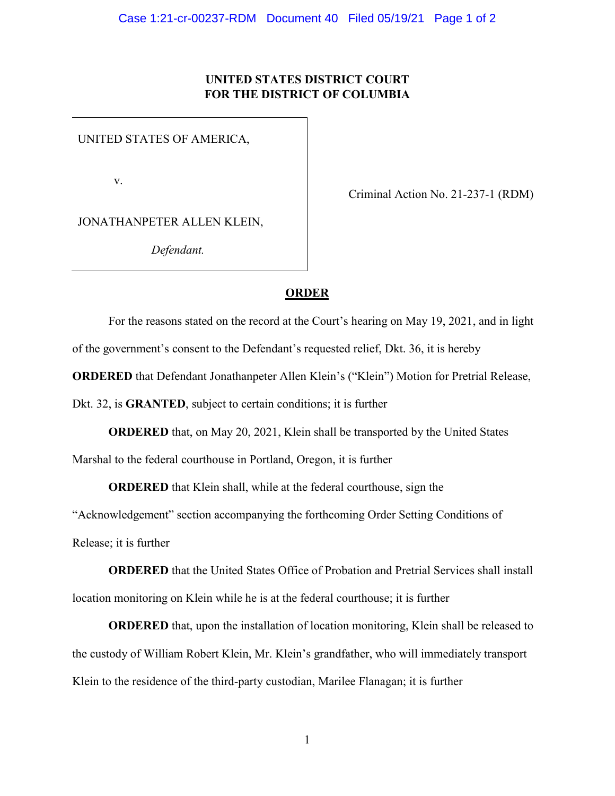## **UNITED STATES DISTRICT COURT FOR THE DISTRICT OF COLUMBIA**

UNITED STATES OF AMERICA,

v.

Criminal Action No. 21-237-1 (RDM)

JONATHANPETER ALLEN KLEIN,

*Defendant.*

## **ORDER**

For the reasons stated on the record at the Court's hearing on May 19, 2021, and in light of the government's consent to the Defendant's requested relief, Dkt. 36, it is hereby **ORDERED** that Defendant Jonathanpeter Allen Klein's ("Klein") Motion for Pretrial Release, Dkt. 32, is **GRANTED**, subject to certain conditions; it is further

**ORDERED** that, on May 20, 2021, Klein shall be transported by the United States

Marshal to the federal courthouse in Portland, Oregon, it is further

**ORDERED** that Klein shall, while at the federal courthouse, sign the

"Acknowledgement" section accompanying the forthcoming Order Setting Conditions of

Release; it is further

**ORDERED** that the United States Office of Probation and Pretrial Services shall install location monitoring on Klein while he is at the federal courthouse; it is further

**ORDERED** that, upon the installation of location monitoring, Klein shall be released to the custody of William Robert Klein, Mr. Klein's grandfather, who will immediately transport Klein to the residence of the third-party custodian, Marilee Flanagan; it is further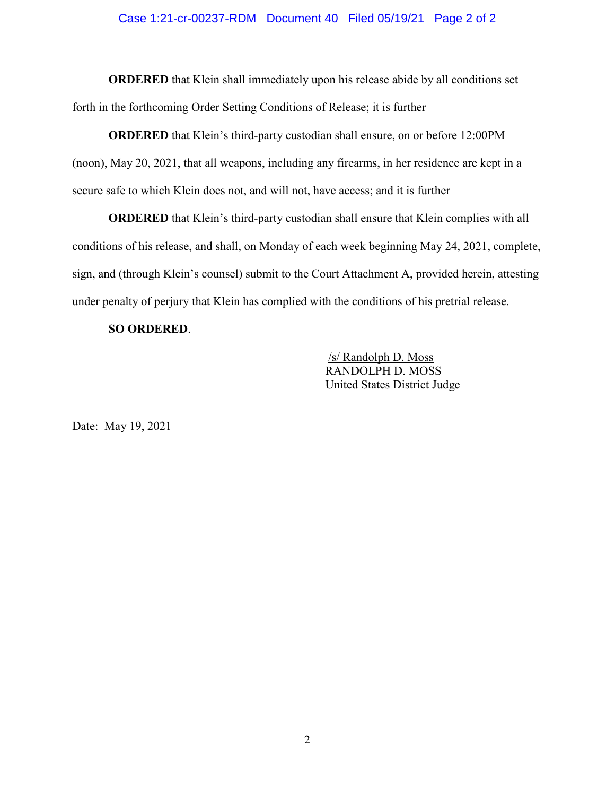#### Case 1:21-cr-00237-RDM Document 40 Filed 05/19/21 Page 2 of 2

**ORDERED** that Klein shall immediately upon his release abide by all conditions set forth in the forthcoming Order Setting Conditions of Release; it is further

**ORDERED** that Klein's third-party custodian shall ensure, on or before 12:00PM (noon), May 20, 2021, that all weapons, including any firearms, in her residence are kept in a secure safe to which Klein does not, and will not, have access; and it is further

**ORDERED** that Klein's third-party custodian shall ensure that Klein complies with all conditions of his release, and shall, on Monday of each week beginning May 24, 2021, complete, sign, and (through Klein's counsel) submit to the Court Attachment A, provided herein, attesting under penalty of perjury that Klein has complied with the conditions of his pretrial release.

#### **SO ORDERED**.

 /s/ Randolph D. Moss RANDOLPH D. MOSS United States District Judge

Date: May 19, 2021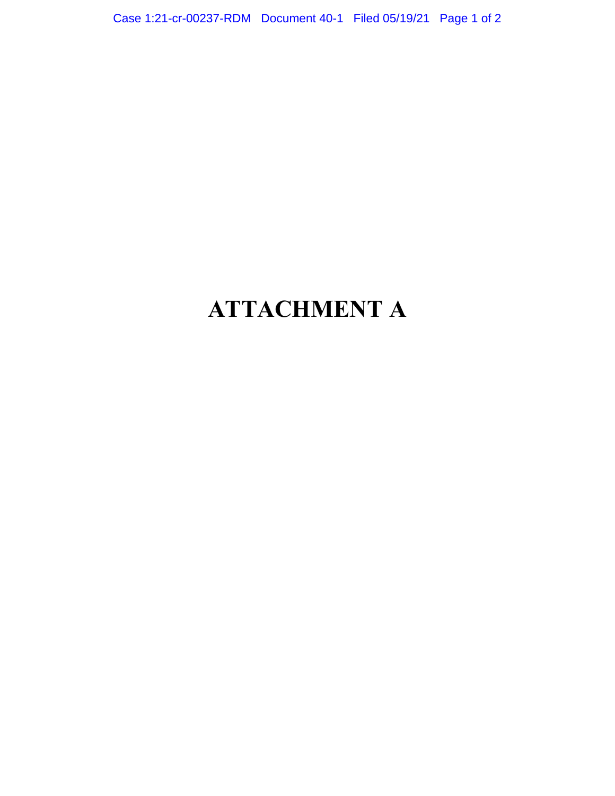Case 1:21-cr-00237-RDM Document 40-1 Filed 05/19/21 Page 1 of 2

# **ATTACHMENT A**